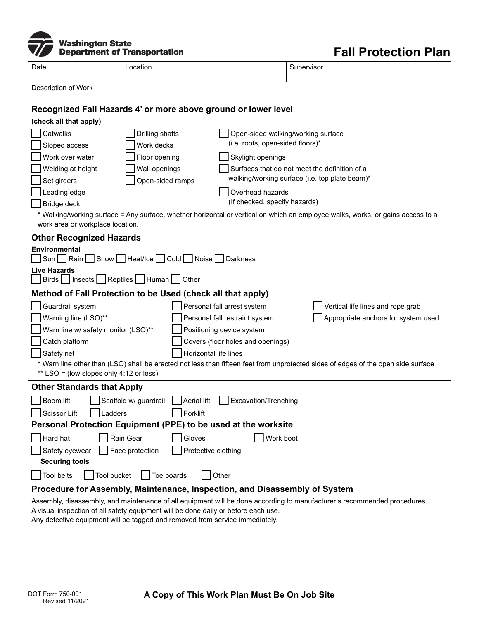

## **Fall Protection Plan**

| Date                                                                                                                                                                         | Location                                                       |                                   | Supervisor                          |  |  |  |
|------------------------------------------------------------------------------------------------------------------------------------------------------------------------------|----------------------------------------------------------------|-----------------------------------|-------------------------------------|--|--|--|
| Description of Work                                                                                                                                                          |                                                                |                                   |                                     |  |  |  |
| Recognized Fall Hazards 4' or more above ground or lower level                                                                                                               |                                                                |                                   |                                     |  |  |  |
| (check all that apply)                                                                                                                                                       |                                                                |                                   |                                     |  |  |  |
| Catwalks                                                                                                                                                                     | Drilling shafts                                                |                                   | Open-sided walking/working surface  |  |  |  |
| Sloped access                                                                                                                                                                | (i.e. roofs, open-sided floors)*<br>Work decks                 |                                   |                                     |  |  |  |
| Work over water                                                                                                                                                              | Floor opening                                                  | Skylight openings                 |                                     |  |  |  |
| Welding at height                                                                                                                                                            | Surfaces that do not meet the definition of a<br>Wall openings |                                   |                                     |  |  |  |
| walking/working surface (i.e. top plate beam)*<br>Set girders<br>Open-sided ramps                                                                                            |                                                                |                                   |                                     |  |  |  |
| Leading edge                                                                                                                                                                 |                                                                | Overhead hazards                  |                                     |  |  |  |
| Bridge deck                                                                                                                                                                  |                                                                | (If checked, specify hazards)     |                                     |  |  |  |
| * Walking/working surface = Any surface, whether horizontal or vertical on which an employee walks, works, or gains access to a<br>work area or workplace location.          |                                                                |                                   |                                     |  |  |  |
| <b>Other Recognized Hazards</b>                                                                                                                                              |                                                                |                                   |                                     |  |  |  |
| Environmental                                                                                                                                                                |                                                                |                                   |                                     |  |  |  |
| Sun Rain Snow Heat/Ice Cold Noise Darkness                                                                                                                                   |                                                                |                                   |                                     |  |  |  |
| Live Hazards<br>Birds   Insects   Reptiles   Human   Other                                                                                                                   |                                                                |                                   |                                     |  |  |  |
| Method of Fall Protection to be Used (check all that apply)                                                                                                                  |                                                                |                                   |                                     |  |  |  |
| Guardrail system                                                                                                                                                             |                                                                | Personal fall arrest system       | Vertical life lines and rope grab   |  |  |  |
| Warning line (LSO)**                                                                                                                                                         |                                                                | Personal fall restraint system    | Appropriate anchors for system used |  |  |  |
| Warn line w/ safety monitor (LSO)**<br>Positioning device system                                                                                                             |                                                                |                                   |                                     |  |  |  |
| Catch platform                                                                                                                                                               |                                                                | Covers (floor holes and openings) |                                     |  |  |  |
| Safety net<br>Horizontal life lines                                                                                                                                          |                                                                |                                   |                                     |  |  |  |
| * Warn line other than (LSO) shall be erected not less than fifteen feet from unprotected sides of edges of the open side surface<br>** LSO = (low slopes only 4:12 or less) |                                                                |                                   |                                     |  |  |  |
| <b>Other Standards that Apply</b>                                                                                                                                            |                                                                |                                   |                                     |  |  |  |
| Boom lift<br>Scaffold w/ guardrail<br>Aerial lift<br>Excavation/Trenching                                                                                                    |                                                                |                                   |                                     |  |  |  |
| Scissor Lift<br>adders                                                                                                                                                       | Forklift                                                       |                                   |                                     |  |  |  |
| Personal Protection Equipment (PPE) to be used at the worksite                                                                                                               |                                                                |                                   |                                     |  |  |  |
| Hard hat                                                                                                                                                                     | Rain Gear<br>Gloves                                            | Work boot                         |                                     |  |  |  |
| Safety eyewear                                                                                                                                                               | Face protection<br>Protective clothing                         |                                   |                                     |  |  |  |
| <b>Securing tools</b>                                                                                                                                                        |                                                                |                                   |                                     |  |  |  |
| <b>Tool belts</b><br>Tool bucket<br>Toe boards<br>Other                                                                                                                      |                                                                |                                   |                                     |  |  |  |
| Procedure for Assembly, Maintenance, Inspection, and Disassembly of System                                                                                                   |                                                                |                                   |                                     |  |  |  |
| Assembly, disassembly, and maintenance of all equipment will be done according to manufacturer's recommended procedures.                                                     |                                                                |                                   |                                     |  |  |  |
| A visual inspection of all safety equipment will be done daily or before each use.<br>Any defective equipment will be tagged and removed from service immediately.           |                                                                |                                   |                                     |  |  |  |
|                                                                                                                                                                              |                                                                |                                   |                                     |  |  |  |
|                                                                                                                                                                              |                                                                |                                   |                                     |  |  |  |
|                                                                                                                                                                              |                                                                |                                   |                                     |  |  |  |
|                                                                                                                                                                              |                                                                |                                   |                                     |  |  |  |
|                                                                                                                                                                              |                                                                |                                   |                                     |  |  |  |
| DOT Form 750-001<br>A Cony of This Work Plan Must Be On Job Site                                                                                                             |                                                                |                                   |                                     |  |  |  |